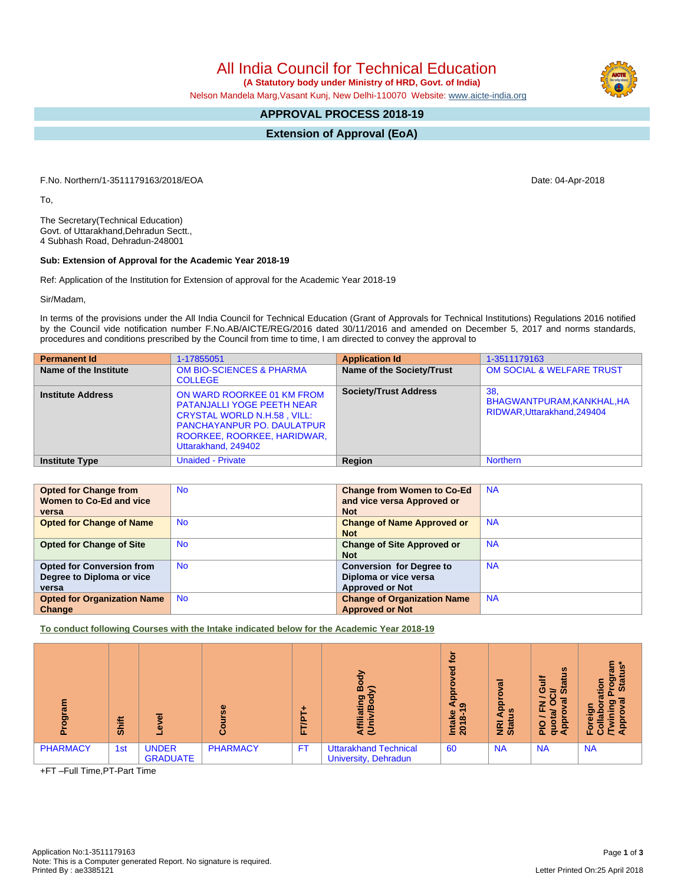All India Council for Technical Education

 **(A Statutory body under Ministry of HRD, Govt. of India)**

Nelson Mandela Marg,Vasant Kunj, New Delhi-110070 Website: [www.aicte-india.org](http://www.aicte-india.org)

## **APPROVAL PROCESS 2018-19**

**Extension of Approval (EoA)**

F.No. Northern/1-3511179163/2018/EOA Date: 04-Apr-2018

To,

The Secretary(Technical Education) Govt. of Uttarakhand,Dehradun Sectt., 4 Subhash Road, Dehradun-248001

## **Sub: Extension of Approval for the Academic Year 2018-19**

Ref: Application of the Institution for Extension of approval for the Academic Year 2018-19

Sir/Madam,

In terms of the provisions under the All India Council for Technical Education (Grant of Approvals for Technical Institutions) Regulations 2016 notified by the Council vide notification number F.No.AB/AICTE/REG/2016 dated 30/11/2016 and amended on December 5, 2017 and norms standards, procedures and conditions prescribed by the Council from time to time, I am directed to convey the approval to

| <b>Permanent Id</b>      | 1-17855051                                                                                                                                                                                       | <b>Application Id</b>        | 1-3511179163                                                     |
|--------------------------|--------------------------------------------------------------------------------------------------------------------------------------------------------------------------------------------------|------------------------------|------------------------------------------------------------------|
| Name of the Institute    | <b>OM BIO-SCIENCES &amp; PHARMA</b><br><b>COLLEGE</b>                                                                                                                                            | Name of the Society/Trust    | <b>OM SOCIAL &amp; WELFARE TRUST</b>                             |
| <b>Institute Address</b> | ON WARD ROORKEE 01 KM FROM<br><b>PATANJALLI YOGE PEETH NEAR</b><br><b>CRYSTAL WORLD N.H.58, VILL:</b><br><b>PANCHAYANPUR PO. DAULATPUR</b><br>ROORKEE, ROORKEE, HARIDWAR,<br>Uttarakhand, 249402 | <b>Society/Trust Address</b> | 38.<br>BHAGWANTPURAM, KANKHAL, HA<br>RIDWAR, Uttarakhand, 249404 |
| <b>Institute Type</b>    | <b>Unaided - Private</b>                                                                                                                                                                         | Region                       | <b>Northern</b>                                                  |

| <b>Opted for Change from</b><br>Women to Co-Ed and vice<br>versa       | <b>No</b> | <b>Change from Women to Co-Ed</b><br>and vice versa Approved or<br><b>Not</b>      | <b>NA</b> |
|------------------------------------------------------------------------|-----------|------------------------------------------------------------------------------------|-----------|
| <b>Opted for Change of Name</b>                                        | <b>No</b> | <b>Change of Name Approved or</b><br><b>Not</b>                                    | <b>NA</b> |
| <b>Opted for Change of Site</b>                                        | <b>No</b> | <b>Change of Site Approved or</b><br><b>Not</b>                                    | <b>NA</b> |
| <b>Opted for Conversion from</b><br>Degree to Diploma or vice<br>versa | <b>No</b> | <b>Conversion for Degree to</b><br>Diploma or vice versa<br><b>Approved or Not</b> | <b>NA</b> |
| <b>Opted for Organization Name</b><br>Change                           | <b>No</b> | <b>Change of Organization Name</b><br><b>Approved or Not</b>                       | <b>NA</b> |

**To conduct following Courses with the Intake indicated below for the Academic Year 2018-19**

| $\bar{\mathbf{p}}$ | Shift |                                 | ω               | e<br>ш. | ⋗<br>о<br>∞<br>ත<br>Е<br>ತ ತ                                | <u>io</u><br>ъ<br>윤<br>െ<br>Intake<br>œ<br>201 | ಸ<br>윤<br><b>SO</b><br><b>Riat</b> | $\boldsymbol{\omega}$<br>ă<br>蒿<br>Ō<br>⇒<br>$\omega$<br><b>G</b><br>-<br>ш.<br>O<br>o<br>$\overline{\mathbf{a}}$<br>$\sigma$<br>Œ | ন<br>흥<br>್ಯ<br>$\sigma$<br>оı<br>$\circ$<br>LL. |
|--------------------|-------|---------------------------------|-----------------|---------|-------------------------------------------------------------|------------------------------------------------|------------------------------------|------------------------------------------------------------------------------------------------------------------------------------|--------------------------------------------------|
| <b>PHARMACY</b>    | 1st   | <b>UNDER</b><br><b>GRADUATE</b> | <b>PHARMACY</b> | FT.     | <b>Uttarakhand Technical</b><br><b>University, Dehradun</b> | 60                                             | <b>NA</b>                          | <b>NA</b>                                                                                                                          | <b>NA</b>                                        |

+FT –Full Time,PT-Part Time